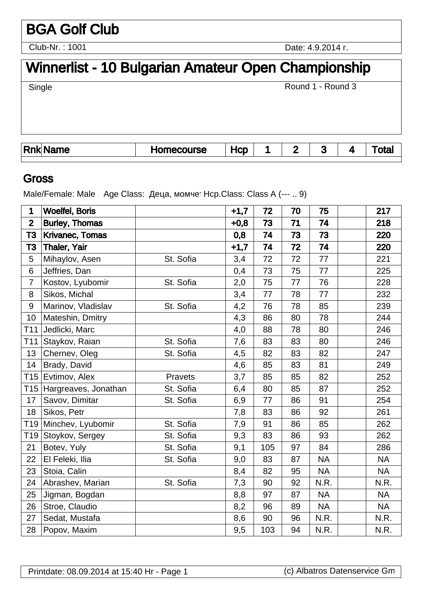# BGA Golf Club

Club-Nr. : 1001

Date: 4.9.2014 .

# Winnerlist - 10 Bulgarian Amateur Open Championship

Single

Round 1 - Round 3

| <b>Rnk</b> | ----<br>пе | .<br>. .<br>ım<br>uləc |  | - | . . |  |
|------------|------------|------------------------|--|---|-----|--|
|            |            |                        |  |   |     |  |

#### Gross

Male/Female: Male Age Class:  $\qquad \qquad , \qquad \qquad$  Hcp.Class: Class A (--- .. 9)

| 1               | <b>Woelfel, Boris</b>  |           | $+1,7$ | 72  | 70 | 75        | 217       |
|-----------------|------------------------|-----------|--------|-----|----|-----------|-----------|
| $\overline{2}$  | <b>Burley, Thomas</b>  |           | $+0,8$ | 73  | 71 | 74        | 218       |
| T3              | <b>Krivanec, Tomas</b> |           | 0,8    | 74  | 73 | 73        | 220       |
| T <sub>3</sub>  | <b>Thaler, Yair</b>    |           | $+1,7$ | 74  | 72 | 74        | 220       |
| 5               | Mihaylov, Asen         | St. Sofia | 3,4    | 72  | 72 | 77        | 221       |
| 6               | Jeffries, Dan          |           | 0,4    | 73  | 75 | 77        | 225       |
| $\overline{7}$  | Kostov, Lyubomir       | St. Sofia | 2,0    | 75  | 77 | 76        | 228       |
| 8               | Sikos, Michal          |           | 3,4    | 77  | 78 | 77        | 232       |
| 9               | Marinov, Vladislav     | St. Sofia | 4,2    | 76  | 78 | 85        | 239       |
| 10              | Mateshin, Dmitry       |           | 4,3    | 86  | 80 | 78        | 244       |
| T11             | Jedlicki, Marc         |           | 4,0    | 88  | 78 | 80        | 246       |
| T11             | Staykov, Raian         | St. Sofia | 7,6    | 83  | 83 | 80        | 246       |
| 13              | Chernev, Oleg          | St. Sofia | 4,5    | 82  | 83 | 82        | 247       |
| 14              | Brady, David           |           | 4,6    | 85  | 83 | 81        | 249       |
| T15             | Evtimov, Alex          | Pravets   | 3,7    | 85  | 85 | 82        | 252       |
| T15             | Hargreaves, Jonathan   | St. Sofia | 6,4    | 80  | 85 | 87        | 252       |
| 17              | Savov, Dimitar         | St. Sofia | 6,9    | 77  | 86 | 91        | 254       |
| 18              | Sikos, Petr            |           | 7,8    | 83  | 86 | 92        | 261       |
| T19             | Minchev, Lyubomir      | St. Sofia | 7,9    | 91  | 86 | 85        | 262       |
| T <sub>19</sub> | Stoykov, Sergey        | St. Sofia | 9,3    | 83  | 86 | 93        | 262       |
| 21              | Botev, Yuly            | St. Sofia | 9,1    | 105 | 97 | 84        | 286       |
| 22              | El Feleki, Ilia        | St. Sofia | 9,0    | 83  | 87 | <b>NA</b> | <b>NA</b> |
| 23              | Stoia, Calin           |           | 8,4    | 82  | 95 | <b>NA</b> | <b>NA</b> |
| 24              | Abrashev, Marian       | St. Sofia | 7,3    | 90  | 92 | N.R.      | N.R.      |
| 25              | Jigman, Bogdan         |           | 8,8    | 97  | 87 | <b>NA</b> | <b>NA</b> |
| 26              | Stroe, Claudio         |           | 8,2    | 96  | 89 | <b>NA</b> | <b>NA</b> |
| 27              | Sedat, Mustafa         |           | 8,6    | 90  | 96 | N.R.      | N.R.      |
| 28              | Popov, Maxim           |           | 9,5    | 103 | 94 | N.R.      | N.R.      |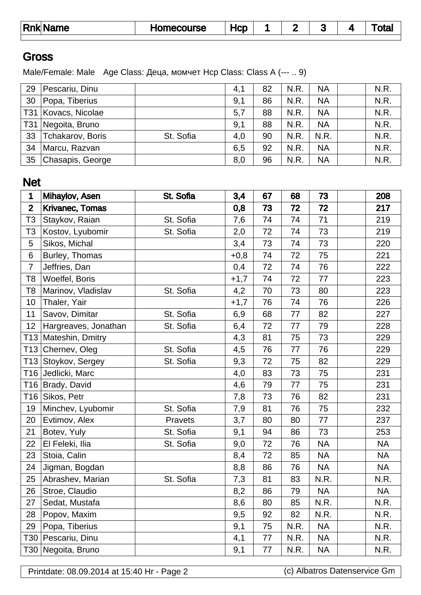| Rnk  Name | Homecourse | Hcp |  |  | otal |
|-----------|------------|-----|--|--|------|
|           |            |     |  |  |      |

#### **Gross**

Male/Female: Male Age Class:  $\qquad,$  Hcp Class: Class A (--- .. 9)

| 29              | Pescariu, Dinu   |           | 4,1 | 82 | N.R. | <b>NA</b> | N.R. |
|-----------------|------------------|-----------|-----|----|------|-----------|------|
| 30              | Popa, Tiberius   |           | 9,1 | 86 | N.R. | <b>NA</b> | N.R. |
| T31             | Kovacs, Nicolae  |           | 5,7 | 88 | N.R. | <b>NA</b> | N.R. |
| T <sub>31</sub> | Negoita, Bruno   |           | 9,1 | 88 | N.R. | <b>NA</b> | N.R. |
| 33              | Tchakarov, Boris | St. Sofia | 4,0 | 90 | N.R. | N.R.      | N.R. |
| 34              | Marcu, Razvan    |           | 6,5 | 92 | N.R. | <b>NA</b> | N.R. |
| 35              | Chasapis, George |           | 8,0 | 96 | N.R. | <b>NA</b> | N.R. |

#### Net

| 1              | Mihaylov, Asen         | St. Sofia | 3,4    | 67 | 68   | 73        | 208       |
|----------------|------------------------|-----------|--------|----|------|-----------|-----------|
| $\overline{2}$ | <b>Krivanec, Tomas</b> |           | 0,8    | 73 | 72   | 72        | 217       |
| T <sub>3</sub> | Staykov, Raian         | St. Sofia | 7,6    | 74 | 74   | 71        | 219       |
| T <sub>3</sub> | Kostov, Lyubomir       | St. Sofia | 2,0    | 72 | 74   | 73        | 219       |
| 5              | Sikos, Michal          |           | 3,4    | 73 | 74   | 73        | 220       |
| 6              | Burley, Thomas         |           | $+0,8$ | 74 | 72   | 75        | 221       |
| $\overline{7}$ | Jeffries, Dan          |           | 0,4    | 72 | 74   | 76        | 222       |
| T <sub>8</sub> | Woelfel, Boris         |           | $+1,7$ | 74 | 72   | 77        | 223       |
| T <sub>8</sub> | Marinov, Vladislav     | St. Sofia | 4,2    | 70 | 73   | 80        | 223       |
| 10             | Thaler, Yair           |           | $+1,7$ | 76 | 74   | 76        | 226       |
| 11             | Savov, Dimitar         | St. Sofia | 6,9    | 68 | 77   | 82        | 227       |
| 12             | Hargreaves, Jonathan   | St. Sofia | 6,4    | 72 | 77   | 79        | 228       |
|                | T13 Mateshin, Dmitry   |           | 4,3    | 81 | 75   | 73        | 229       |
|                | T13 Chernev, Oleg      | St. Sofia | 4,5    | 76 | 77   | 76        | 229       |
| T13            | Stoykov, Sergey        | St. Sofia | 9,3    | 72 | 75   | 82        | 229       |
| T16            | Jedlicki, Marc         |           | 4,0    | 83 | 73   | 75        | 231       |
|                | T16 Brady, David       |           | 4,6    | 79 | 77   | 75        | 231       |
|                | T16 Sikos, Petr        |           | 7,8    | 73 | 76   | 82        | 231       |
| 19             | Minchev, Lyubomir      | St. Sofia | 7,9    | 81 | 76   | 75        | 232       |
| 20             | Evtimov, Alex          | Pravets   | 3,7    | 80 | 80   | 77        | 237       |
| 21             | Botev, Yuly            | St. Sofia | 9,1    | 94 | 86   | 73        | 253       |
| 22             | El Feleki, Ilia        | St. Sofia | 9,0    | 72 | 76   | <b>NA</b> | <b>NA</b> |
| 23             | Stoia, Calin           |           | 8,4    | 72 | 85   | <b>NA</b> | <b>NA</b> |
| 24             | Jigman, Bogdan         |           | 8,8    | 86 | 76   | <b>NA</b> | <b>NA</b> |
| 25             | Abrashev, Marian       | St. Sofia | 7,3    | 81 | 83   | N.R.      | N.R.      |
| 26             | Stroe, Claudio         |           | 8,2    | 86 | 79   | <b>NA</b> | <b>NA</b> |
| 27             | Sedat, Mustafa         |           | 8,6    | 80 | 85   | N.R.      | N.R.      |
| 28             | Popov, Maxim           |           | 9,5    | 92 | 82   | N.R.      | N.R.      |
| 29             | Popa, Tiberius         |           | 9,1    | 75 | N.R. | <b>NA</b> | N.R.      |
| T30            | Pescariu, Dinu         |           | 4,1    | 77 | N.R. | <b>NA</b> | N.R.      |
|                | T30 Negoita, Bruno     |           | 9,1    | 77 | N.R. | <b>NA</b> | N.R.      |

Printdate: 08.09.2014 at 15:40 Hr - Page 2 (c) Albatros Datenservice Gm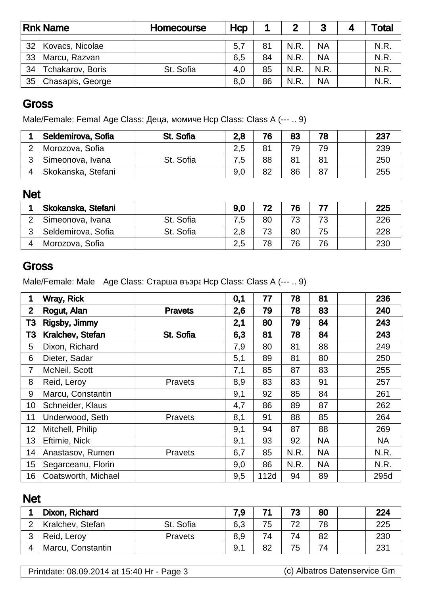|    | <b>Rnk Name</b>  | Homecourse | Hcp |    | 2    | 3         | <sup>-</sup> otal |
|----|------------------|------------|-----|----|------|-----------|-------------------|
|    |                  |            |     |    |      |           |                   |
| 32 | Kovacs, Nicolae  |            | 5,7 | 81 | N.R. | <b>NA</b> | N.R.              |
| 33 | Marcu, Razvan    |            | 6,5 | 84 | N.R. | NA        | N.R               |
| 34 | Tchakarov, Boris | St. Sofia  | 4,0 | 85 | N.R. | N.R.      | N.R               |
| 35 | Chasapis, George |            | 8,0 | 86 | N.R. | <b>NA</b> | N.R               |

## **Gross**

Male/Female: Femal Age Class:  $\qquad,$  Hcp Class: Class A (--- .. 9)

|   | Seldemirova, Sofia | St. Sofia | 2,8 | 76 | 83 | 78 | 237 |
|---|--------------------|-----------|-----|----|----|----|-----|
| ◠ | Morozova, Sofia    |           | 2,5 | 81 | 79 | 79 | 239 |
| ◠ | Simeonova, Ivana   | St. Sofia | 7,5 | 88 | 81 | 81 | 250 |
|   | Skokanska, Stefani |           | 9,0 | 82 | 86 | 87 | 255 |

### Net

|   | Skokanska, Stefani |           | 9.0 | 72 | 76 |    | 225 |
|---|--------------------|-----------|-----|----|----|----|-----|
|   | Simeonova, Ivana   | St. Sofia | 7,5 | 80 | 73 | 73 | 226 |
| 2 | Seldemirova, Sofia | St. Sofia | 2,8 | 73 | 80 | 75 | 228 |
|   | ⊥Morozova, Sofia   |           | 2,5 | 78 | 76 | 76 | 230 |

# **Gross**

Male/Female: Male Age Class: Fig. 31 Mcp Class: Class A (--- .. 9)

| 1              | Wray, Rick          |                | 0,1 | 77   | 78   | 81        | 236       |
|----------------|---------------------|----------------|-----|------|------|-----------|-----------|
| $\overline{2}$ | Rogut, Alan         | <b>Pravets</b> | 2,6 | 79   | 78   | 83        | 240       |
| T3             | Rigsby, Jimmy       |                | 2,1 | 80   | 79   | 84        | 243       |
| T <sub>3</sub> | Kralchev, Stefan    | St. Sofia      | 6,3 | 81   | 78   | 84        | 243       |
| 5              | Dixon, Richard      |                | 7,9 | 80   | 81   | 88        | 249       |
| 6              | Dieter, Sadar       |                | 5,1 | 89   | 81   | 80        | 250       |
| $\overline{7}$ | McNeil, Scott       |                | 7,1 | 85   | 87   | 83        | 255       |
| 8              | Reid, Leroy         | <b>Pravets</b> | 8,9 | 83   | 83   | 91        | 257       |
| 9              | Marcu, Constantin   |                | 9,1 | 92   | 85   | 84        | 261       |
| 10             | Schneider, Klaus    |                | 4,7 | 86   | 89   | 87        | 262       |
| 11             | Underwood, Seth     | <b>Pravets</b> | 8,1 | 91   | 88   | 85        | 264       |
| 12             | Mitchell, Philip    |                | 9,1 | 94   | 87   | 88        | 269       |
| 13             | Eftimie, Nick       |                | 9,1 | 93   | 92   | <b>NA</b> | <b>NA</b> |
| 14             | Anastasov, Rumen    | <b>Pravets</b> | 6,7 | 85   | N.R. | <b>NA</b> | N.R.      |
| 15             | Segarceanu, Florin  |                | 9,0 | 86   | N.R. | NA        | N.R.      |
| 16             | Coatsworth, Michael |                | 9,5 | 112d | 94   | 89        | 295d      |

#### Net

|   | Dixon, Richard    |                | 7.9 | 74 | 73 | 80 | 224 |
|---|-------------------|----------------|-----|----|----|----|-----|
|   | Kralchev, Stefan  | St. Sofia      | 6,3 | 75 | 72 | 78 | 225 |
| າ | Reid, Leroy       | <b>Pravets</b> | 8,9 | 74 | 74 | 82 | 230 |
| 4 | Marcu, Constantin |                | 9,1 | 82 | 75 | 74 | 231 |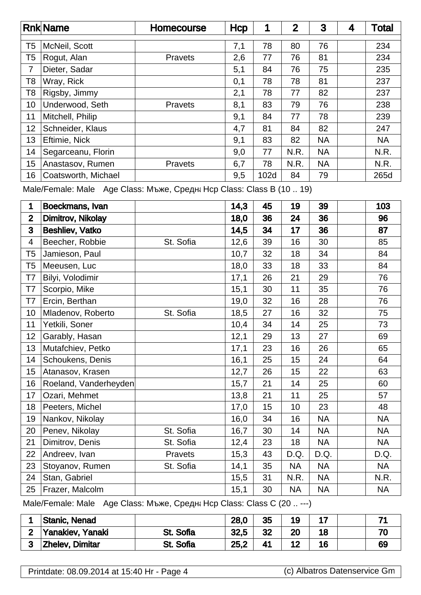|                | <b>Rnk Name</b>              | <b>Homecourse</b>        | Hcp                         | 1    | $\mathbf{2}$ | 3         | 4 | Total     |
|----------------|------------------------------|--------------------------|-----------------------------|------|--------------|-----------|---|-----------|
| T <sub>5</sub> | McNeil, Scott                |                          | 7,1                         | 78   | 80           | 76        |   | 234       |
| T <sub>5</sub> | Rogut, Alan                  | Pravets                  | 2,6                         | 77   | 76           | 81        |   | 234       |
| $\overline{7}$ | Dieter, Sadar                |                          | 5,1                         | 84   | 76           | 75        |   | 235       |
| T <sub>8</sub> | Wray, Rick                   |                          | 0,1                         | 78   | 78           | 81        |   | 237       |
| T <sub>8</sub> | Rigsby, Jimmy                |                          | 2,1                         | 78   | 77           | 82        |   | 237       |
| 10             | Underwood, Seth              | Pravets                  | 8,1                         | 83   | 79           | 76        |   | 238       |
| 11             | Mitchell, Philip             |                          | 9,1                         | 84   | 77           | 78        |   | 239       |
| 12             | Schneider, Klaus             |                          | 4,7                         | 81   | 84           | 82        |   | 247       |
| 13             | Eftimie, Nick                |                          | 9,1                         | 83   | 82           | <b>NA</b> |   | <b>NA</b> |
| 14             | Segarceanu, Florin           |                          | 9,0                         | 77   | N.R.         | <b>NA</b> |   | N.R.      |
| 15             | Anastasov, Rumen             | Pravets                  | 6,7                         | 78   | N.R.         | <b>NA</b> |   | N.R.      |
| 16             | Coatsworth, Michael          |                          | 9,5                         | 102d | 84           | 79        |   | 265d      |
|                | Male/Female: Male Age Class: | $\overline{\phantom{a}}$ | Hcp Class: Class B (10  19) |      |              |           |   |           |
| 1              | Boeckmans, Ivan              |                          | 14,3                        | 45   | 19           | 39        |   | 103       |
| $\mathbf{2}$   | Dimitrov, Nikolay            |                          | 18,0                        | 36   | 24           | 36        |   | 96        |
| 3              | <b>Beshliev, Vatko</b>       |                          | 14,5                        | 34   | 17           | 36        |   | 87        |
| 4              | Beecher, Robbie              | St. Sofia                | 12,6                        | 39   | 16           | 30        |   | 85        |
| T <sub>5</sub> | Jamieson, Paul               |                          | 10,7                        | 32   | 18           | 34        |   | 84        |
| T <sub>5</sub> | Meeusen, Luc                 |                          | 18,0                        | 33   | 18           | 33        |   | 84        |
| T7             | Bilyi, Volodimir             |                          | 17,1                        | 26   | 21           | 29        |   | 76        |
| T7             | Scorpio, Mike                |                          | 15,1                        | 30   | 11           | 35        |   | 76        |
| T7             | Ercin, Berthan               |                          | 19,0                        | 32   | 16           | 28        |   | 76        |
| 10             | Mladenov, Roberto            | St. Sofia                | 18,5                        | 27   | 16           | 32        |   | 75        |
| 11             | Yetkili, Soner               |                          | 10,4                        | 34   | 14           | 25        |   | 73        |
| 12             | Garably, Hasan               |                          | 12,1                        | 29   | 13           | 27        |   | 69        |
| 13             | Mutafchiev, Petko            |                          | 17,1                        | 23   | 16           | 26        |   | 65        |
| 14             | Schoukens, Denis             |                          | 16,1                        | 25   | 15           | 24        |   | 64        |
| 15             | Atanasov, Krasen             |                          | 12,7                        | 26   | 15           | 22        |   | 63        |
| 16             | Roeland, Vanderheyden        |                          | 15,7                        | 21   | 14           | 25        |   | 60        |
| 17             | Ozari, Mehmet                |                          | 13,8                        | 21   | 11           | 25        |   | 57        |
| 18             | Peeters, Michel              |                          | 17,0                        | 15   | 10           | 23        |   | 48        |
| 19             | Nankov, Nikolay              |                          | 16,0                        | 34   | 16           | <b>NA</b> |   | <b>NA</b> |
| 20             | Penev, Nikolay               | St. Sofia                | 16,7                        | 30   | 14           | NA        |   | <b>NA</b> |
| 21             | Dimitrov, Denis              | St. Sofia                | 12,4                        | 23   | 18           | <b>NA</b> |   | <b>NA</b> |

Male/Female: Male Age Class:  $\qquad \qquad$ , Hcp Class: Class C (20 .. ---)

|                | Stanic, Nenad          |                  | 28,0 | 35 | 19 |    |    |
|----------------|------------------------|------------------|------|----|----|----|----|
| $\bullet$      | Yanakiev, Yanaki       | St. Sofia        | 32,5 | 32 | 20 | 18 | 70 |
| $\bullet$<br>υ | <b>Zhelev, Dimitar</b> | <b>St. Sofia</b> | 25,2 | 41 | 12 | 16 | 69 |

22 Andreev, Ivan Pravets 15,3 43 D.Q. D.Q. D.Q. D.Q. 23 Stoyanov, Rumen | St. Sofia | 14,1 | 35 | NA | NA | NA 24 Stan, Gabriel 15,5 31 N.R. NA N.R. 25 Frazer, Malcolm | 15,1 30 NA NA NA NA NA